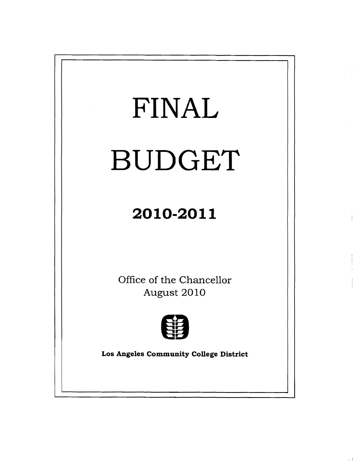

 $\downarrow$   $\downarrow$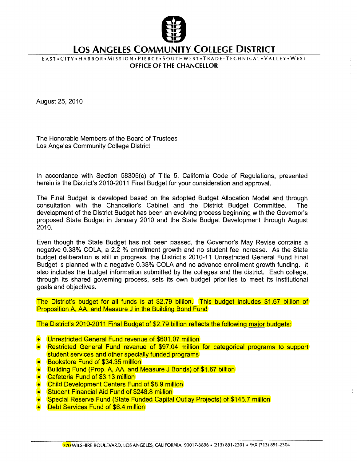

## **LOS ANGELES COMMUNITY COLLEGE DISTRICT**

E A ST. CITY. HARBOR. MISSION. PIERCE. SOUTHWEST. TRADE-TECHNICAL. VALLEY. WEST OFFICE OF THE CHANCELLOR

August25,2010

The Honorable Members of the Board of Trustees Los Angeles Community College District

In accordance with Section 58305(c) of Title 5, California Code of Regulations, presented herein is the District's 2010-2011 Final Budget for your consideration and approval.

The Final Budget is developed based on the adopted Budget Allocation Model and through consultation with the Chancellor's Cabinet and the District Budget Committee. The development of the District Budget has been an evolving process beginning with the Governor's proposed State Budget in January 2010 and the State Budget Development through August 2010.

Even though the State Budget has not been passed, the Governor's May Revise contains a negative 0.38% COLA, a 2.2 % enrollment growth and no student fee increase. As the State budget deliberation is still in progress, the District's 2010-11 Unrestricted General Fund Final Budget is planned with a negative 0.38% COLA and no advance enrollment growth funding. It also includes the budget information submitted by the colleges and the district. Each college, through its shared governing process, sets its own budget priorities to meet its institutional goals and objectives.

The District's budget for all funds is at \$2.79 billion. This budget includes \$1.67 billion of Proposition A, AA, and Measure J in the Building Bond Fund

The District's 2010-2011 Final Budget of \$2.79 billion reflects the following major budgets:

- Unrestricted General Fund revenue of \$601.07 million
- **Restricted General Fund revenue of \$97.04 million for categorical programs to support** student services and other specially funded programs
- **Bookstore Fund of \$34.35 million**
- Building Fund (Prop. A, AA, and Measure J Bonds) of \$1.67 billion
- Cafeteria Fund of \$3.13 million
- Child Development Centers Fund of \$8.9 million
- Student Financial Aid Fund of \$248.8 million
- **Special Reserve Fund (State Funded Capital Outlay Projects) of \$145.7 million**
- Debt Services Fund of \$6.4 million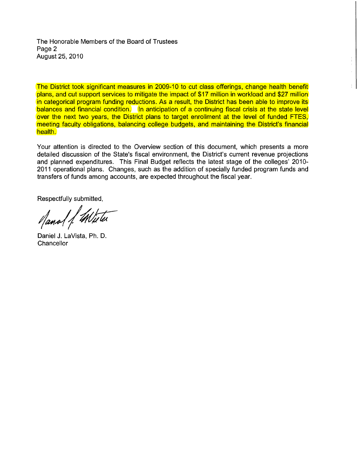The Honorable Members of the Board of Trustees Page 2 August25,2010

The District took significant measures in 2009-10 to cut class offerings, change health benefit plans, and cut support services to mitigate the impact of \$17 million in workload and \$27 million in categorical program funding reductions. As a result, the District has been able to improve its balances and financial condition. In anticipation of a continuing fiscal crisis at the state level over the next two years, the District plans to target enrollment at the level of funded FTES, meeting faculty obligations, balancing college budgets, and maintaining the District's financial health.

Your attention is directed to the Overview section of this document, which presents a more detailed discussion of the State's fiscal environment, the District's current revenue projections and planned expenditures. This Final Budget reflects the latest stage of the colleges' 2010 2011 operational plans. Changes, such as the addition of specially funded program funds and transfers of funds among accounts, are expected throughout the fiscal year.

Respectfully submitted,

Manal 1. White

Daniel J. LaVista, Ph. D. **Chancellor**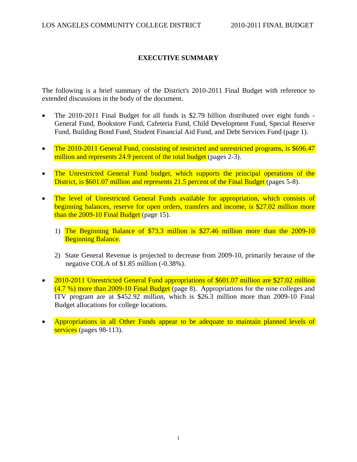## **EXECUTIVE SUMMARY**

The following is a brief summary of the District's 2010-2011 Final Budget with reference to extended discussions in the body of the document.

- The 2010-2011 Final Budget for all funds is \$2.79 billion distributed over eight funds General Fund, Bookstore Fund, Cafeteria Fund, Child Development Fund, Special Reserve Fund, Building Bond Fund, Student Financial Aid Fund, and Debt Services Fund (page 1).
- The 2010-2011 General Fund, consisting of restricted and unrestricted programs, is \$696.47 million and represents 24.9 percent of the total budget (pages 2-3).
- The Unrestricted General Fund budget, which supports the principal operations of the District, is \$601.07 million and represents 21.5 percent of the Final Budget (pages 5-8).
- The level of Unrestricted General Funds available for appropriation, which consists of beginning balances, reserve for open orders, transfers and income, is \$27.02 million more than the 2009-10 Final Budget (page 15).
	- 1) The Beginning Balance of \$73.3 million is \$27.46 million more than the 2009-10 Beginning Balance.
	- 2) State General Revenue is projected to decrease from 2009-10, primarily because of the negative COLA of \$1.85 million (-0.38%).
- 2010-2011 Unrestricted General Fund appropriations of \$601.07 million are \$27.02 million  $(4.7\%)$  more than 2009-10 Final Budget (page 8). Appropriations for the nine colleges and ITV program are at \$452.92 million, which is \$26.3 million more than 2009-10 Final Budget allocations for college locations.
- Appropriations in all Other Funds appear to be adequate to maintain planned levels of services (pages 98-113).